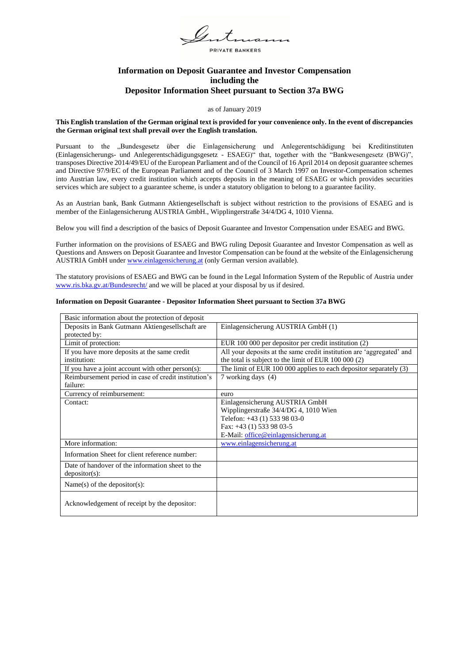PRIVATE BANKERS

# **Information on Deposit Guarantee and Investor Compensation including the Depositor Information Sheet pursuant to Section 37a BWG**

### as of January 2019

# **This English translation of the German original text is provided for your convenience only. In the event of discrepancies the German original text shall prevail over the English translation.**

Pursuant to the "Bundesgesetz über die Einlagensicherung und Anlegerentschädigung bei Kreditinstituten (Einlagensicherungs- und Anlegerentschädigungsgesetz - ESAEG)" that, together with the "Bankwesengesetz (BWG)", transposes Directive 2014/49/EU of the European Parliament and of the Council of 16 April 2014 on deposit guarantee schemes and Directive 97/9/EC of the European Parliament and of the Council of 3 March 1997 on Investor-Compensation schemes into Austrian law, every credit institution which accepts deposits in the meaning of ESAEG or which provides securities services which are subject to a guarantee scheme, is under a statutory obligation to belong to a guarantee facility.

As an Austrian bank, Bank Gutmann Aktiengesellschaft is subject without restriction to the provisions of ESAEG and is member of the Einlagensicherung AUSTRIA GmbH., Wipplingerstraße 34/4/DG 4, 1010 Vienna.

Below you will find a description of the basics of Deposit Guarantee and Investor Compensation under ESAEG and BWG.

Further information on the provisions of ESAEG and BWG ruling Deposit Guarantee and Investor Compensation as well as Questions and Answers on Deposit Guarantee and Investor Compensation can be found at the website of the Einlagensicherung AUSTRIA GmbH unde[r www.einlagensicherung.at](http://www.einlagensicherung.at/) (only German version available).

The statutory provisions of ESAEG and BWG can be found in the Legal Information System of the Republic of Austria under [www.ris.bka.gv.at/Bundesrecht/](http://www.ris.bka.gv.at/Bundesrecht/) and we will be placed at your disposal by us if desired.

# **Information on Deposit Guarantee - Depositor Information Sheet pursuant to Section 37a BWG**

| Basic information about the protection of deposit    |                                                                       |
|------------------------------------------------------|-----------------------------------------------------------------------|
| Deposits in Bank Gutmann Aktiengesellschaft are      | Einlagensicherung AUSTRIA GmbH (1)                                    |
| protected by:                                        |                                                                       |
| Limit of protection:                                 | EUR 100 000 per depositor per credit institution (2)                  |
| If you have more deposits at the same credit         | All your deposits at the same credit institution are 'aggregated' and |
| institution:                                         | the total is subject to the limit of EUR 100 000 (2)                  |
| If you have a joint account with other $person(s)$ : | The limit of EUR 100 000 applies to each depositor separately (3)     |
| Reimbursement period in case of credit institution's | 7 working days (4)                                                    |
| failure:                                             |                                                                       |
| Currency of reimbursement:                           | euro                                                                  |
| Contact:                                             | Einlagensicherung AUSTRIA GmbH                                        |
|                                                      | Wipplingerstraße 34/4/DG 4, 1010 Wien                                 |
|                                                      | Telefon: +43 (1) 533 98 03-0                                          |
|                                                      | Fax: +43 (1) 533 98 03-5                                              |
|                                                      | E-Mail: office@einlagensicherung.at                                   |
| More information:                                    | www.einlagensicherung.at                                              |
| Information Sheet for client reference number:       |                                                                       |
| Date of handover of the information sheet to the     |                                                                       |
| $deposition(s)$ :                                    |                                                                       |
| Name(s) of the depositor(s):                         |                                                                       |
| Acknowledgement of receipt by the depositor:         |                                                                       |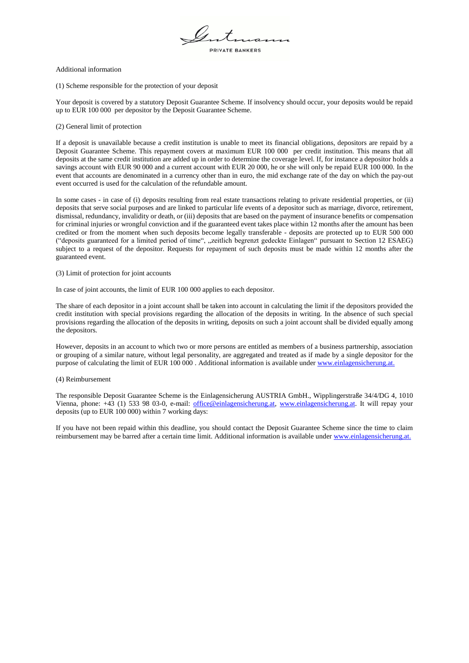PRIVATE BANKERS

### Additional information

(1) Scheme responsible for the protection of your deposit

Your deposit is covered by a statutory Deposit Guarantee Scheme. If insolvency should occur, your deposits would be repaid up to EUR 100 000 per depositor by the Deposit Guarantee Scheme.

# (2) General limit of protection

If a deposit is unavailable because a credit institution is unable to meet its financial obligations, depositors are repaid by a Deposit Guarantee Scheme. This repayment covers at maximum EUR 100 000 per credit institution. This means that all deposits at the same credit institution are added up in order to determine the coverage level. If, for instance a depositor holds a savings account with EUR 90 000 and a current account with EUR 20 000, he or she will only be repaid EUR 100 000. In the event that accounts are denominated in a currency other than in euro, the mid exchange rate of the day on which the pay-out event occurred is used for the calculation of the refundable amount.

In some cases - in case of (i) deposits resulting from real estate transactions relating to private residential properties, or (ii) deposits that serve social purposes and are linked to particular life events of a depositor such as marriage, divorce, retirement, dismissal, redundancy, invalidity or death, or (iii) deposits that are based on the payment of insurance benefits or compensation for criminal injuries or wrongful conviction and if the guaranteed event takes place within 12 months after the amount has been credited or from the moment when such deposits become legally transferable - deposits are protected up to EUR 500 000 ("deposits guaranteed for a limited period of time", "zeitlich begrenzt gedeckte Einlagen" pursuant to Section 12 ESAEG) subject to a request of the depositor. Requests for repayment of such deposits must be made within 12 months after the guaranteed event.

# (3) Limit of protection for joint accounts

In case of joint accounts, the limit of EUR 100 000 applies to each depositor.

The share of each depositor in a joint account shall be taken into account in calculating the limit if the depositors provided the credit institution with special provisions regarding the allocation of the deposits in writing. In the absence of such special provisions regarding the allocation of the deposits in writing, deposits on such a joint account shall be divided equally among the depositors.

However, deposits in an account to which two or more persons are entitled as members of a business partnership, association or grouping of a similar nature, without legal personality, are aggregated and treated as if made by a single depositor for the purpose of calculating the limit of EUR 100 000 . Additional information is available under [www.einlagensicherung.at.](http://www.einlagensicherung.at/)

## (4) Reimbursement

The responsible Deposit Guarantee Scheme is the Einlagensicherung AUSTRIA GmbH., Wipplingerstraße 34/4/DG 4, 1010 Vienna, phone: +43 (1) 533 98 03-0, e-mail: [office@einlagensicherung.at,](mailto:office@einlagensicherung.at) [www.einlagensicherung.at.](http://www.einlagensicherung.at/) It will repay your deposits (up to EUR 100 000) within 7 working days:

If you have not been repaid within this deadline, you should contact the Deposit Guarantee Scheme since the time to claim reimbursement may be barred after a certain time limit. Additional information is available unde[r www.einlagensicherung.at.](http://www.einlagensicherung.at/)